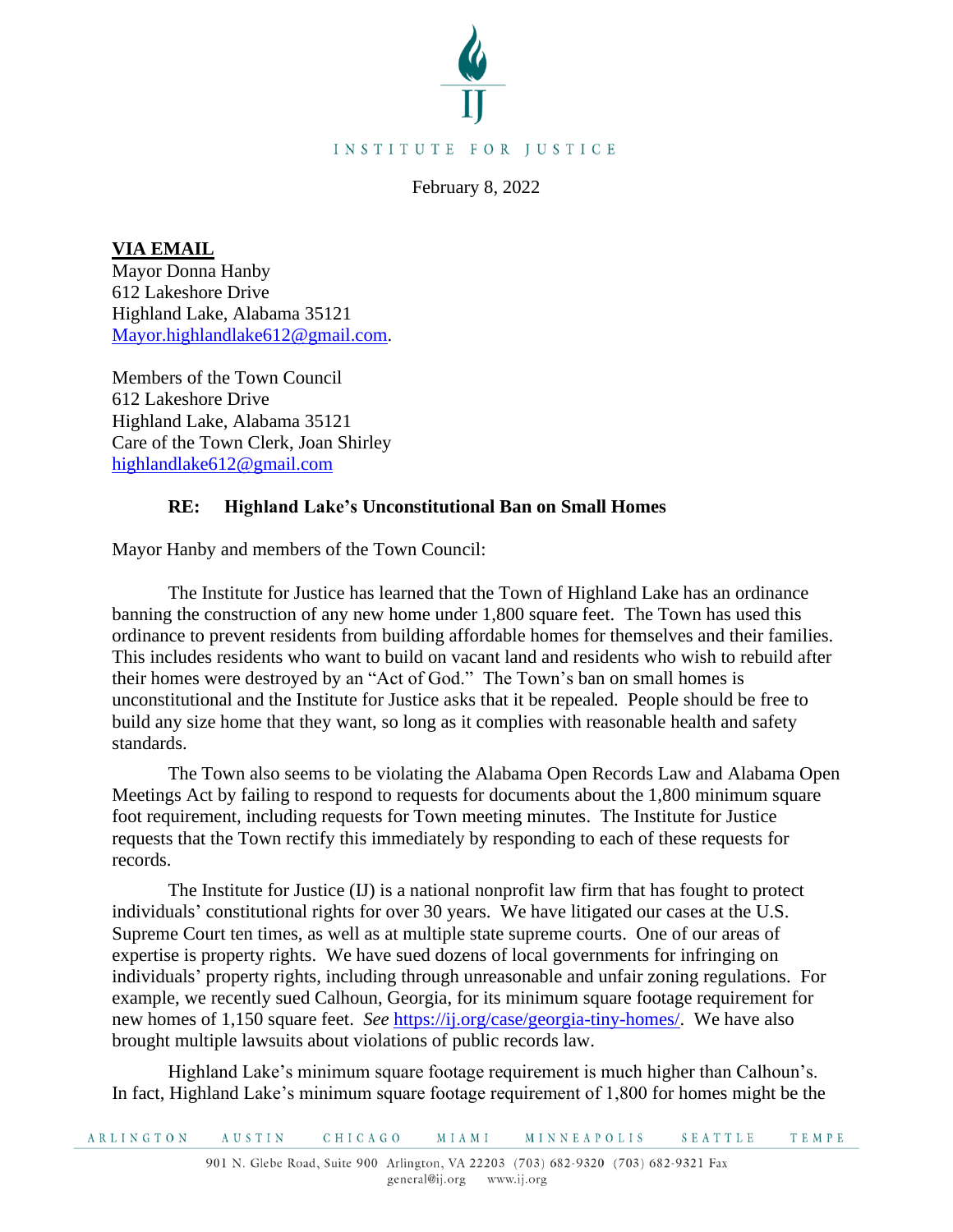

February 8, 2022

**VIA EMAIL** 

Mayor Donna Hanby 612 Lakeshore Drive Highland Lake, Alabama 35121 [Mayor.highlandlake612@gmail.com.](mailto:Mayor.highlandlake612@gmail.com)

Members of the Town Council 612 Lakeshore Drive Highland Lake, Alabama 35121 Care of the Town Clerk, Joan Shirley [highlandlake612@gmail.com](mailto:highlandlake612@gmail.com)

## **RE: Highland Lake's Unconstitutional Ban on Small Homes**

Mayor Hanby and members of the Town Council:

The Institute for Justice has learned that the Town of Highland Lake has an ordinance banning the construction of any new home under 1,800 square feet. The Town has used this ordinance to prevent residents from building affordable homes for themselves and their families. This includes residents who want to build on vacant land and residents who wish to rebuild after their homes were destroyed by an "Act of God." The Town's ban on small homes is unconstitutional and the Institute for Justice asks that it be repealed. People should be free to build any size home that they want, so long as it complies with reasonable health and safety standards.

The Town also seems to be violating the Alabama Open Records Law and Alabama Open Meetings Act by failing to respond to requests for documents about the 1,800 minimum square foot requirement, including requests for Town meeting minutes. The Institute for Justice requests that the Town rectify this immediately by responding to each of these requests for records.

The Institute for Justice (IJ) is a national nonprofit law firm that has fought to protect individuals' constitutional rights for over 30 years. We have litigated our cases at the U.S. Supreme Court ten times, as well as at multiple state supreme courts. One of our areas of expertise is property rights. We have sued dozens of local governments for infringing on individuals' property rights, including through unreasonable and unfair zoning regulations. For example, we recently sued Calhoun, Georgia, for its minimum square footage requirement for new homes of 1,150 square feet. *See* [https://ij.org/case/georgia-tiny-homes/.](https://ij.org/case/georgia-tiny-homes/) We have also brought multiple lawsuits about violations of public records law.

Highland Lake's minimum square footage requirement is much higher than Calhoun's. In fact, Highland Lake's minimum square footage requirement of 1,800 for homes might be the

ARLINGTON AUSTIN **CHICAGO MIAMI** MINNEAPOLIS SEATTLE **TEMPE**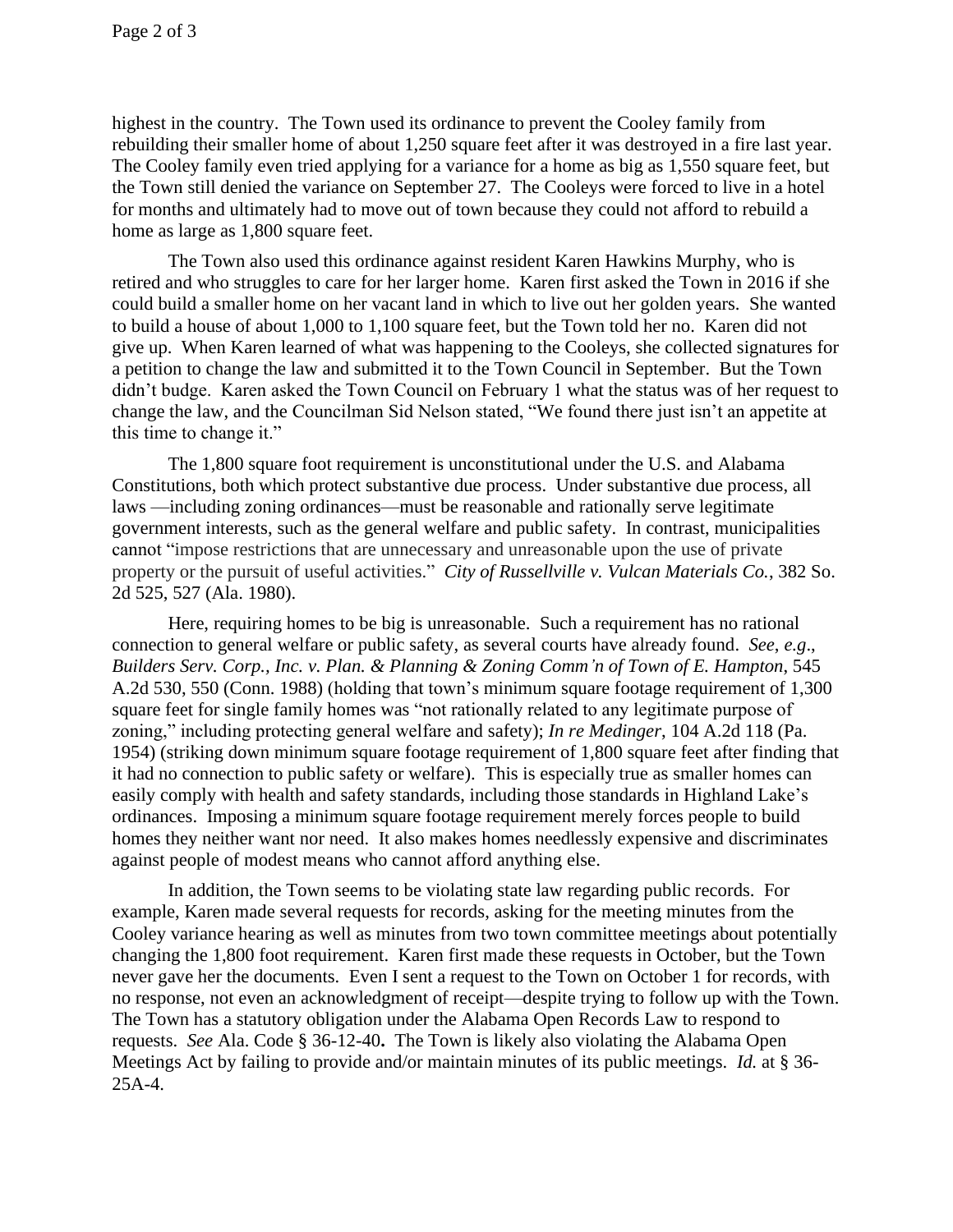highest in the country. The Town used its ordinance to prevent the Cooley family from rebuilding their smaller home of about 1,250 square feet after it was destroyed in a fire last year. The Cooley family even tried applying for a variance for a home as big as 1,550 square feet, but the Town still denied the variance on September 27. The Cooleys were forced to live in a hotel for months and ultimately had to move out of town because they could not afford to rebuild a home as large as 1,800 square feet.

The Town also used this ordinance against resident Karen Hawkins Murphy, who is retired and who struggles to care for her larger home. Karen first asked the Town in 2016 if she could build a smaller home on her vacant land in which to live out her golden years. She wanted to build a house of about 1,000 to 1,100 square feet, but the Town told her no. Karen did not give up. When Karen learned of what was happening to the Cooleys, she collected signatures for a petition to change the law and submitted it to the Town Council in September. But the Town didn't budge. Karen asked the Town Council on February 1 what the status was of her request to change the law, and the Councilman Sid Nelson stated, "We found there just isn't an appetite at this time to change it."

The 1,800 square foot requirement is unconstitutional under the U.S. and Alabama Constitutions, both which protect substantive due process. Under substantive due process, all laws —including zoning ordinances—must be reasonable and rationally serve legitimate government interests, such as the general welfare and public safety. In contrast, municipalities cannot "impose restrictions that are unnecessary and unreasonable upon the use of private property or the pursuit of useful activities." *City of Russellville v. Vulcan Materials Co.*, 382 So. 2d 525, 527 (Ala. 1980).

Here, requiring homes to be big is unreasonable. Such a requirement has no rational connection to general welfare or public safety, as several courts have already found. *See*, *e.g*., *Builders Serv. Corp., Inc. v. Plan. & Planning & Zoning Comm'n of Town of E. Hampton*, 545 A.2d 530, 550 (Conn. 1988) (holding that town's minimum square footage requirement of 1,300 square feet for single family homes was "not rationally related to any legitimate purpose of zoning," including protecting general welfare and safety); *In re Medinger*, 104 A.2d 118 (Pa. 1954) (striking down minimum square footage requirement of 1,800 square feet after finding that it had no connection to public safety or welfare). This is especially true as smaller homes can easily comply with health and safety standards, including those standards in Highland Lake's ordinances. Imposing a minimum square footage requirement merely forces people to build homes they neither want nor need. It also makes homes needlessly expensive and discriminates against people of modest means who cannot afford anything else.

In addition, the Town seems to be violating state law regarding public records. For example, Karen made several requests for records, asking for the meeting minutes from the Cooley variance hearing as well as minutes from two town committee meetings about potentially changing the 1,800 foot requirement. Karen first made these requests in October, but the Town never gave her the documents. Even I sent a request to the Town on October 1 for records, with no response, not even an acknowledgment of receipt—despite trying to follow up with the Town. The Town has a statutory obligation under the Alabama Open Records Law to respond to requests. *See* Ala. Code § 36-12-40**.** The Town is likely also violating the Alabama Open Meetings Act by failing to provide and/or maintain minutes of its public meetings. *Id.* at § 36- 25A-4.